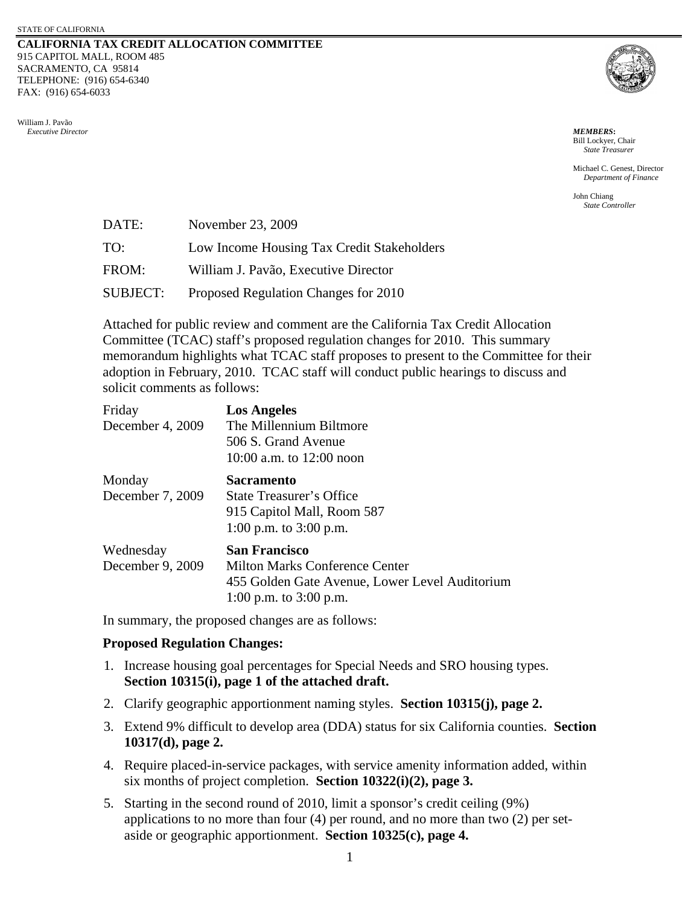## **CALIFORNIA TAX CREDIT ALLOCATION COMMITTEE** 915 CAPITOL MALL, ROOM 485 SACRAMENTO, CA 95814 TELEPHONE: (916) 654-6340 FAX: (916) 654-6033

William J. Pavão  *Executive Director MEMBERS***:**



Bill Lockyer, Chair *State Treasurer*

Michael C. Genest, Director *Department of Finance* 

John Chiang *State Controller*

| DATE:           | November 23, 2009                          |
|-----------------|--------------------------------------------|
| TO:             | Low Income Housing Tax Credit Stakeholders |
| FROM:           | William J. Pavão, Executive Director       |
| <b>SUBJECT:</b> | Proposed Regulation Changes for 2010       |

Attached for public review and comment are the California Tax Credit Allocation Committee (TCAC) staff's proposed regulation changes for 2010. This summary memorandum highlights what TCAC staff proposes to present to the Committee for their adoption in February, 2010. TCAC staff will conduct public hearings to discuss and solicit comments as follows:

| Friday<br>December 4, 2009    | <b>Los Angeles</b><br>The Millennium Biltmore<br>506 S. Grand Avenue<br>10:00 a.m. to $12:00$ noon                                          |
|-------------------------------|---------------------------------------------------------------------------------------------------------------------------------------------|
| Monday<br>December 7, 2009    | <b>Sacramento</b><br>State Treasurer's Office<br>915 Capitol Mall, Room 587<br>1:00 p.m. to $3:00$ p.m.                                     |
| Wednesday<br>December 9, 2009 | <b>San Francisco</b><br><b>Milton Marks Conference Center</b><br>455 Golden Gate Avenue, Lower Level Auditorium<br>1:00 p.m. to $3:00$ p.m. |

In summary, the proposed changes are as follows:

## **Proposed Regulation Changes:**

- 1. Increase housing goal percentages for Special Needs and SRO housing types. **Section 10315(i), page 1 of the attached draft.**
- 2. Clarify geographic apportionment naming styles. **Section 10315(j), page 2.**
- 3. Extend 9% difficult to develop area (DDA) status for six California counties. **Section 10317(d), page 2.**
- 4. Require placed-in-service packages, with service amenity information added, within six months of project completion. **Section 10322(i)(2), page 3.**
- 5. Starting in the second round of 2010, limit a sponsor's credit ceiling (9%) applications to no more than four (4) per round, and no more than two (2) per setaside or geographic apportionment. **Section 10325(c), page 4.**